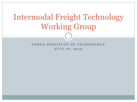# Intermodal Freight Technology Working Group

FEDEX INSTITUTE OF TECHNOLOGY **JULY 27, 2010**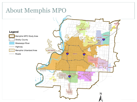## About Memphis MPO

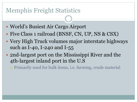#### Memphis Freight Statistics

- World's Busiest Air Cargo Airport
- Five Class 1 railroad (BNSF, CN, UP, NS & CSX)
- Very High Truck volumes major interstate highways such as I-40, I-240 and I-55
- 2nd-largest port on the Mississippi River and the 4th-largest inland port in the U.S
	- Primarily used for bulk items, i.e. farming, crude material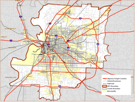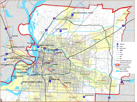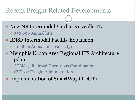#### Recent Freight Related Developments

- New NS Intermodal Yard in Rossville TN
	- 350,000 Annual lifts
- BNSF Intermodal Facility Expansion
	- 1 million Annual lifts (capacity)
- Memphis Urban Area Regional ITS Architecture Update
	- ATMS- 5 Railroad Operations Coordination
	- CVO-02 Freight Administration
- Implementation of SmartWay (TDOT)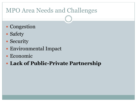## MPO Area Needs and Challenges

- Congestion
- Safety
- Security
- Environmental Impact
- Economic
- **Lack of Public-Private Partnership**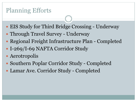## Planning Efforts

- EIS Study for Third Bridge Crossing Underway
- Through Travel Survey Underway
- Regional Freight Infrastructure Plan Completed
- I-269/I-69 NAFTA Corridor Study
- Aerotropolis
- Southern Poplar Corridor Study Completed
- Lamar Ave. Corridor Study Completed